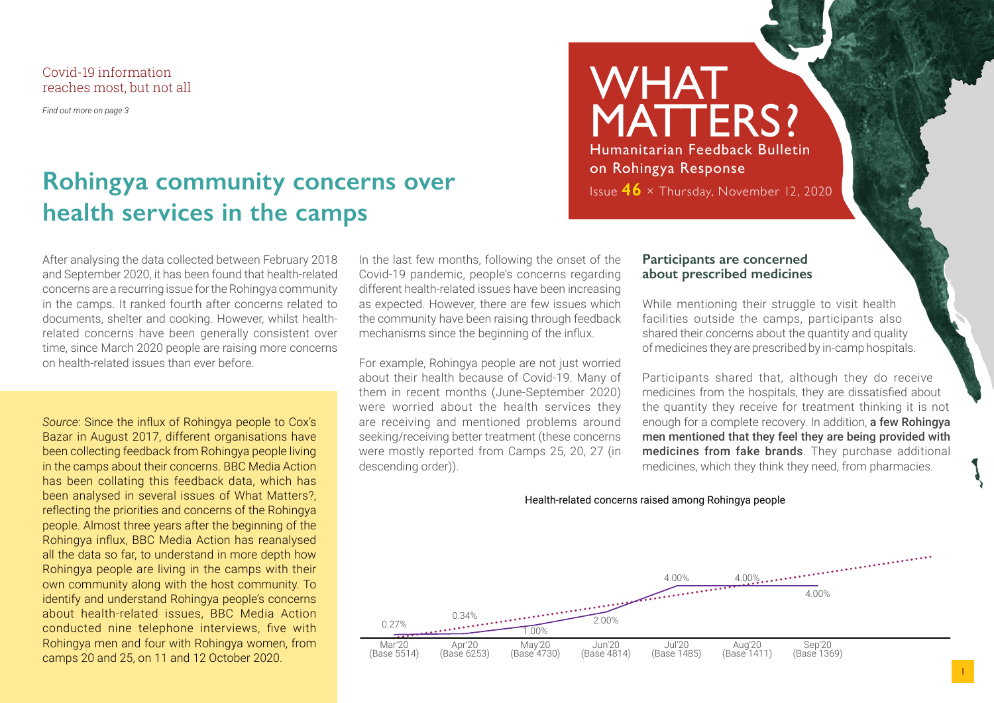Covid-19 information reaches most, but not all

*Find out more on page 3*

## **Rohingya community concerns over health services in the camps**

After analysing the data collected between February 2018 and September 2020, it has been found that health-related concerns are a recurring issue for the Rohingya community in the camps. It ranked fourth after concerns related to documents, shelter and cooking. However, whilst healthrelated concerns have been generally consistent over time, since March 2020 people are raising more concerns on health-related issues than ever before.

*Source*: Since the influx of Rohingya people to Cox's Bazar in August 2017, different organisations have been collecting feedback from Rohingya people living in the camps about their concerns. BBC Media Action has been collating this feedback data, which has been analysed in several issues of What Matters?, reflecting the priorities and concerns of the Rohingya people. Almost three years after the beginning of the Rohingya influx, BBC Media Action has reanalysed all the data so far, to understand in more depth how Rohingya people are living in the camps with their own community along with the host community. To identify and understand Rohingya people's concerns about health-related issues, BBC Media Action conducted nine telephone interviews, five with Rohingya men and four with Rohingya women, from camps 20 and 25, on 11 and 12 October 2020.

In the last few months, following the onset of the Covid-19 pandemic, people's concerns regarding different health-related issues have been increasing as expected. However, there are few issues which the community have been raising through feedback mechanisms since the beginning of the influx.

For example, Rohingya people are not just worried about their health because of Covid-19. Many of them in recent months (June-September 2020) were worried about the health services they are receiving and mentioned problems around seeking/receiving better treatment (these concerns were mostly reported from Camps 25, 20, 27 (in descending order)).

## WHAT MATTERS? Humanitarian Feedback Bulletin on Rohingya Response Issue **46** × Thursday, November 12, 2020

#### **Participants are concerned about prescribed medicines**

While mentioning their struggle to visit health facilities outside the camps, participants also shared their concerns about the quantity and quality of medicines they are prescribed by in-camp hospitals.

Participants shared that, although they do receive medicines from the hospitals, they are dissatisfied about the quantity they receive for treatment thinking it is not enough for a complete recovery. In addition, a few Rohingya men mentioned that they feel they are being provided with medicines from fake brands. They purchase additional medicines, which they think they need, from pharmacies.

#### Health-related concerns raised among Rohingya people

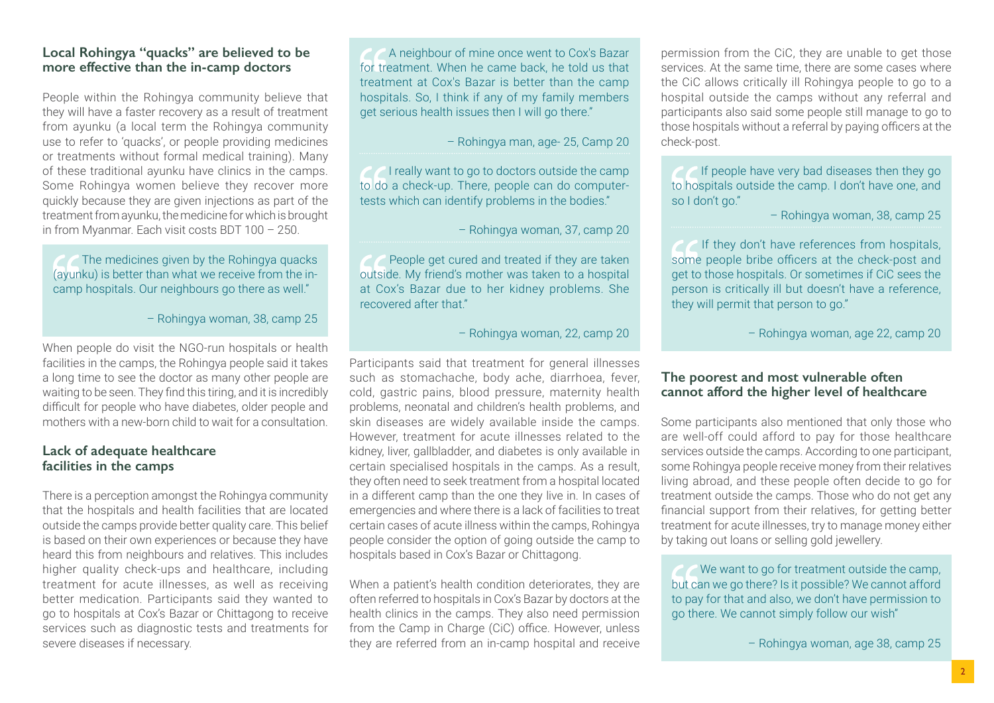#### **Local Rohingya "quacks" are believed to be more effective than the in-camp doctors**

People within the Rohingya community believe that they will have a faster recovery as a result of treatment from ayunku (a local term the Rohingya community use to refer to 'quacks', or people providing medicines or treatments without formal medical training). Many of these traditional ayunku have clinics in the camps. Some Rohingya women believe they recover more quickly because they are given injections as part of the treatment from ayunku, the medicine for which is brought in from Myanmar. Each visit costs BDT 100 – 250.

#### The medicines given by the Rohingya quacks (ayunku) is better than what we receive from the incamp hospitals. Our neighbours go there as well."

– Rohingya woman, 38, camp 25

When people do visit the NGO-run hospitals or health facilities in the camps, the Rohingya people said it takes a long time to see the doctor as many other people are waiting to be seen. They find this tiring, and it is incredibly difficult for people who have diabetes, older people and mothers with a new-born child to wait for a consultation.

#### **Lack of adequate healthcare facilities in the camps**

There is a perception amongst the Rohingya community that the hospitals and health facilities that are located outside the camps provide better quality care. This belief is based on their own experiences or because they have heard this from neighbours and relatives. This includes higher quality check-ups and healthcare, including treatment for acute illnesses, as well as receiving better medication. Participants said they wanted to go to hospitals at Cox's Bazar or Chittagong to receive services such as diagnostic tests and treatments for severe diseases if necessary.

A neighbour of mine once went to Cox's Bazar for treatment. When he came back, he told us that treatment at Cox's Bazar is better than the camp hospitals. So, I think if any of my family members get serious health issues then I will go there."

– Rohingya man, age- 25, Camp 20

 I really want to go to doctors outside the camp to do a check-up. There, people can do computertests which can identify problems in the bodies."

– Rohingya woman, 37, camp 20

 People get cured and treated if they are taken outside. My friend's mother was taken to a hospital at Cox's Bazar due to her kidney problems. She recovered after that."

– Rohingya woman, 22, camp 20

Participants said that treatment for general illnesses such as stomachache, body ache, diarrhoea, fever, cold, gastric pains, blood pressure, maternity health problems, neonatal and children's health problems, and skin diseases are widely available inside the camps. However, treatment for acute illnesses related to the kidney, liver, gallbladder, and diabetes is only available in certain specialised hospitals in the camps. As a result, they often need to seek treatment from a hospital located in a different camp than the one they live in. In cases of emergencies and where there is a lack of facilities to treat certain cases of acute illness within the camps, Rohingya people consider the option of going outside the camp to hospitals based in Cox's Bazar or Chittagong.

When a patient's health condition deteriorates, they are often referred to hospitals in Cox's Bazar by doctors at the health clinics in the camps. They also need permission from the Camp in Charge (CiC) office. However, unless they are referred from an in-camp hospital and receive permission from the CiC, they are unable to get those services. At the same time, there are some cases where the CiC allows critically ill Rohingya people to go to a hospital outside the camps without any referral and participants also said some people still manage to go to those hospitals without a referral by paying officers at the check-post.

If people have very bad diseases then they go to hospitals outside the camp. I don't have one, and so I don't go."

– Rohingya woman, 38, camp 25

If they don't have references from hospitals, some people bribe officers at the check-post and get to those hospitals. Or sometimes if CiC sees the person is critically ill but doesn't have a reference, they will permit that person to go."

– Rohingya woman, age 22, camp 20

#### **The poorest and most vulnerable often cannot afford the higher level of healthcare**

Some participants also mentioned that only those who are well-off could afford to pay for those healthcare services outside the camps. According to one participant, some Rohingya people receive money from their relatives living abroad, and these people often decide to go for treatment outside the camps. Those who do not get any financial support from their relatives, for getting better treatment for acute illnesses, try to manage money either by taking out loans or selling gold jewellery.

We want to go for treatment outside the camp, but can we go there? Is it possible? We cannot afford to pay for that and also, we don't have permission to go there. We cannot simply follow our wish"

– Rohingya woman, age 38, camp 25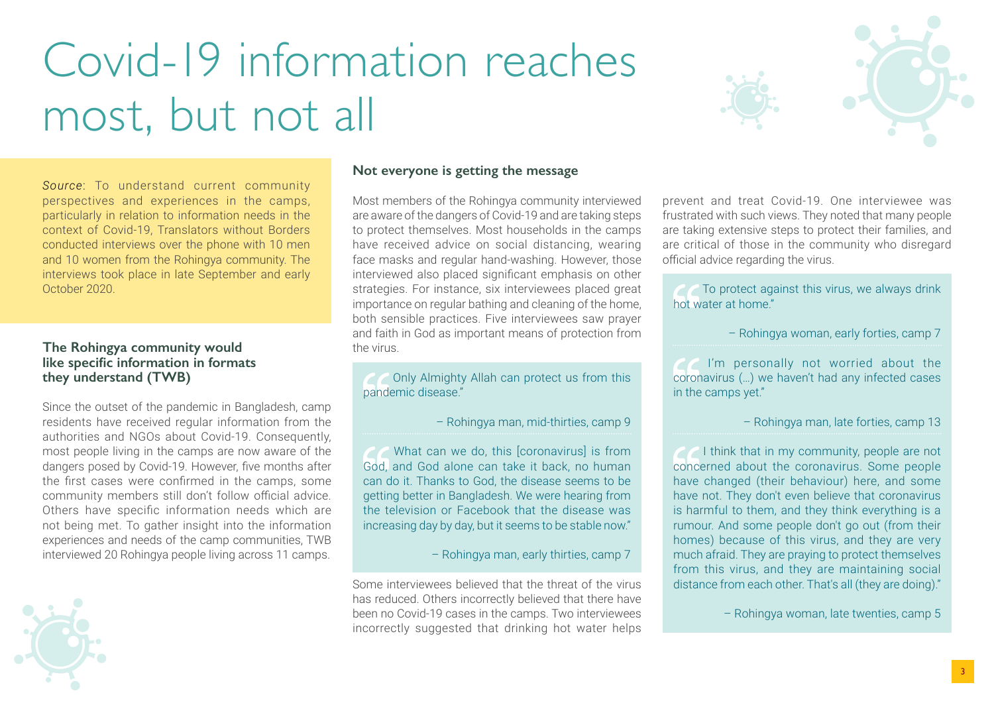# Covid-19 information reaches most, but not all



*Source*: To understand current community perspectives and experiences in the camps, particularly in relation to information needs in the context of Covid-19, Translators without Borders conducted interviews over the phone with 10 men and 10 women from the Rohingya community. The interviews took place in late September and early October 2020.

#### **The Rohingya community would like specific information in formats they understand (TWB)**

Since the outset of the pandemic in Bangladesh, camp residents have received regular information from the authorities and NGOs about Covid-19. Consequently, most people living in the camps are now aware of the dangers posed by Covid-19. However, five months after the first cases were confirmed in the camps, some community members still don't follow official advice. Others have specific information needs which are not being met. To gather insight into the information experiences and needs of the camp communities, TWB interviewed 20 Rohingya people living across 11 camps.



#### **Not everyone is getting the message**

Most members of the Rohingya community interviewed are aware of the dangers of Covid-19 and are taking steps to protect themselves. Most households in the camps have received advice on social distancing, wearing face masks and regular hand-washing. However, those interviewed also placed significant emphasis on other strategies. For instance, six interviewees placed great importance on regular bathing and cleaning of the home, both sensible practices. Five interviewees saw prayer and faith in God as important means of protection from the virus.

 Only Almighty Allah can protect us from this pandemic disease."

– Rohingya man, mid-thirties, camp 9

 What can we do, this [coronavirus] is from God, and God alone can take it back, no human can do it. Thanks to God, the disease seems to be getting better in Bangladesh. We were hearing from the television or Facebook that the disease was increasing day by day, but it seems to be stable now."

– Rohingya man, early thirties, camp 7

Some interviewees believed that the threat of the virus has reduced. Others incorrectly believed that there have been no Covid-19 cases in the camps. Two interviewees incorrectly suggested that drinking hot water helps

prevent and treat Covid-19. One interviewee was frustrated with such views. They noted that many people are taking extensive steps to protect their families, and are critical of those in the community who disregard official advice regarding the virus.

To protect against this virus, we always drink hot water at home."

– Rohingya woman, early forties, camp 7

 I'm personally not worried about the coronavirus (…) we haven't had any infected cases in the camps yet."

– Rohingya man, late forties, camp 13

*C* I think that in my community, people are not concerned about the coronavirus. Some people have changed (their behaviour) here, and some have not. They don't even believe that coronavirus is harmful to them, and they think everything is a rumour. And some people don't go out (from their homes) because of this virus, and they are very much afraid. They are praying to protect themselves from this virus, and they are maintaining social distance from each other. That's all (they are doing)."

– Rohingya woman, late twenties, camp 5